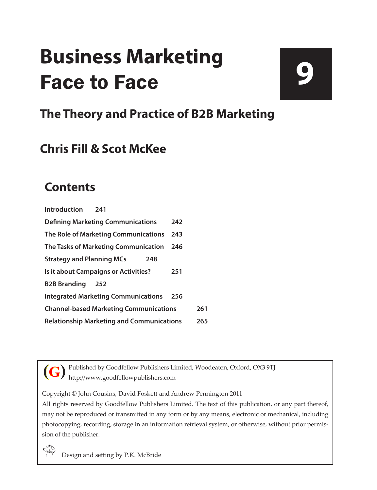# **Business Marketing** Face to Face

# **9**

### **The Theory and Practice of B2B Marketing**

### **Chris Fill & Scot McKee**

### **Contents**

| Introduction<br>241                              |     |     |
|--------------------------------------------------|-----|-----|
| <b>Defining Marketing Communications</b>         | 242 |     |
| The Role of Marketing Communications             | 243 |     |
| The Tasks of Marketing Communication             | 246 |     |
| <b>Strategy and Planning MCs</b><br>248          |     |     |
| Is it about Campaigns or Activities?             | 251 |     |
| <b>B2B Branding</b><br>252                       |     |     |
| <b>Integrated Marketing Communications</b>       | 256 |     |
| <b>Channel-based Marketing Communications</b>    |     | 261 |
| <b>Relationship Marketing and Communications</b> |     | 265 |

Published by Goodfellow Publishers Limited, Woodeaton, Oxford, OX3 9TJ http://www.goodfellowpublishers.com **(G)**

Copyright © John Cousins, David Foskett and Andrew Pennington 2011

All rights reserved by Goodfellow Publishers Limited. The text of this publication, or any part thereof, may not be reproduced or transmitted in any form or by any means, electronic or mechanical, including photocopying, recording, storage in an information retrieval system, or otherwise, without prior permission of the publisher.



Design and setting by P.K. McBride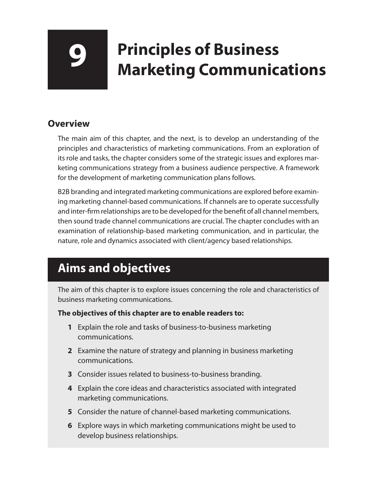## **9 Principles of Business Marketing Communications**

#### **Overview**

The main aim of this chapter, and the next, is to develop an understanding of the principles and characteristics of marketing communications. From an exploration of its role and tasks, the chapter considers some of the strategic issues and explores marketing communications strategy from a business audience perspective. A framework for the development of marketing communication plans follows.

B2B branding and integrated marketing communications are explored before examining marketing channel-based communications. If channels are to operate successfully and inter-firm relationships are to be developed for the benefit of all channel members, then sound trade channel communications are crucial. The chapter concludes with an examination of relationship-based marketing communication, and in particular, the nature, role and dynamics associated with client/agency based relationships.

### **Aims and objectives**

The aim of this chapter is to explore issues concerning the role and characteristics of business marketing communications.

#### **The objectives of this chapter are to enable readers to:**

- **1** Explain the role and tasks of business-to-business marketing communications.
- **2** Examine the nature of strategy and planning in business marketing communications.
- **3** Consider issues related to business-to-business branding.
- **4** Explain the core ideas and characteristics associated with integrated marketing communications.
- **5** Consider the nature of channel-based marketing communications.
- **6** Explore ways in which marketing communications might be used to develop business relationships.